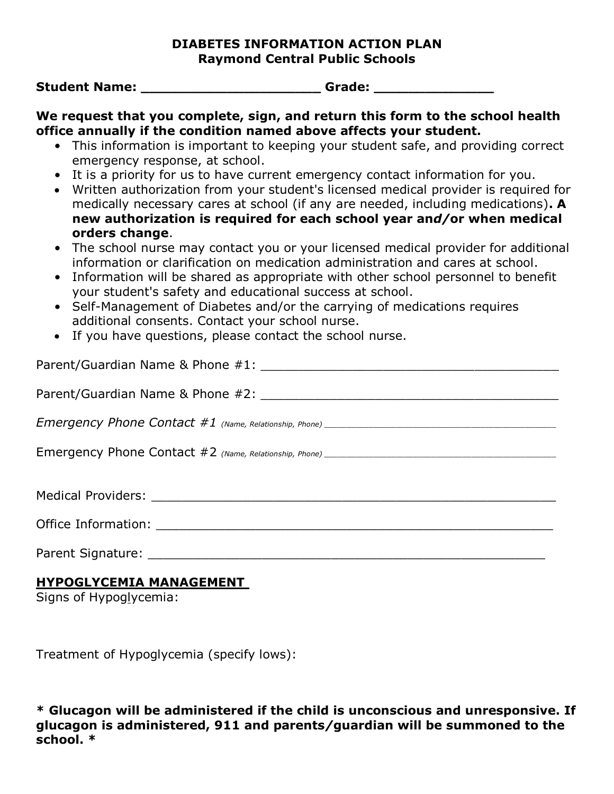### **DIABETES INFORMATION ACTION PLAN Raymond Central Public Schools**

**Student Name: \_\_\_\_\_\_\_\_\_\_\_\_\_\_\_\_\_\_\_\_\_ Grade: \_\_\_\_\_\_\_\_\_\_\_\_\_\_**

**We request that you complete, sign, and return this form to the school health office annually if the condition named above affects your student.**

- This information is important to keeping your student safe, and providing correct emergency response, at school.
- It is a priority for us to have current emergency contact information for you.
- Written authorization from your student's licensed medical provider is required for medically necessary cares at school (if any are needed, including medications)**. A new authorization is required for each school year an***d/***or when medical orders change**.
- The school nurse may contact you or your licensed medical provider for additional information or clarification on medication administration and cares at school.
- Information will be shared as appropriate with other school personnel to benefit your student's safety and educational success at school.
- Self-Management of Diabetes and/or the carrying of medications requires additional consents. Contact your school nurse.
- If you have questions, please contact the school nurse.

| Office Information: The contract of the contract of the contract of the contract of the contract of the contract of the contract of the contract of the contract of the contract of the contract of the contract of the contra |
|--------------------------------------------------------------------------------------------------------------------------------------------------------------------------------------------------------------------------------|
| Parent Signature:                                                                                                                                                                                                              |

# **HYPOGLYCEMIA MANAGEMENT**

Signs of Hypoglycemia:

Treatment of Hypoglycemia (specify lows):

**\* Glucagon will be administered if the child is unconscious and unresponsive. If glucagon is administered, 911 and parents***/***guardian will be summoned to the school. \***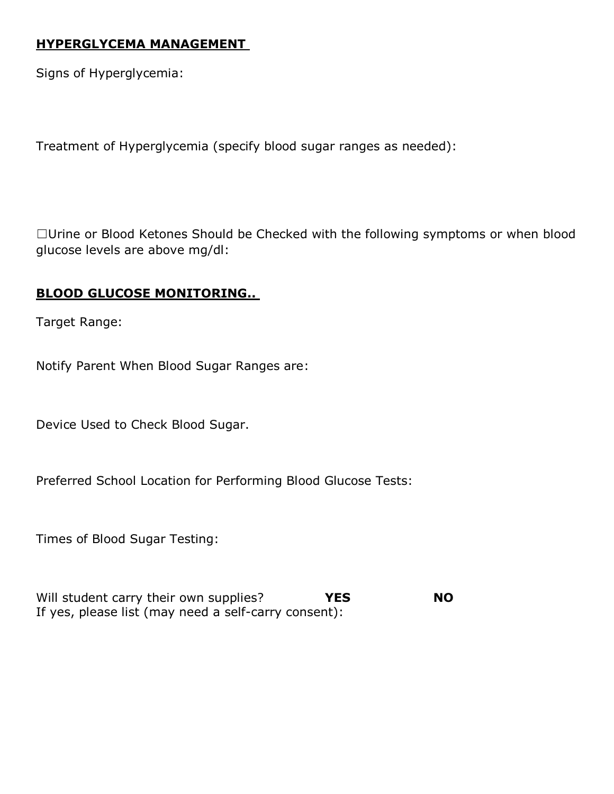### **HYPERGLYCEMA MANAGEMENT**

Signs of Hyperglycemia:

Treatment of Hyperglycemia (specify blood sugar ranges as needed):

☐Urine or Blood Ketones Should be Checked with the following symptoms or when blood glucose levels are above mg/dl:

## **BLOOD GLUCOSE MONITORING..**

Target Range:

Notify Parent When Blood Sugar Ranges are:

Device Used to Check Blood Sugar.

Preferred School Location for Performing Blood Glucose Tests:

Times of Blood Sugar Testing:

Will student carry their own supplies? **YES NO** If yes, please list (may need a self-carry consent):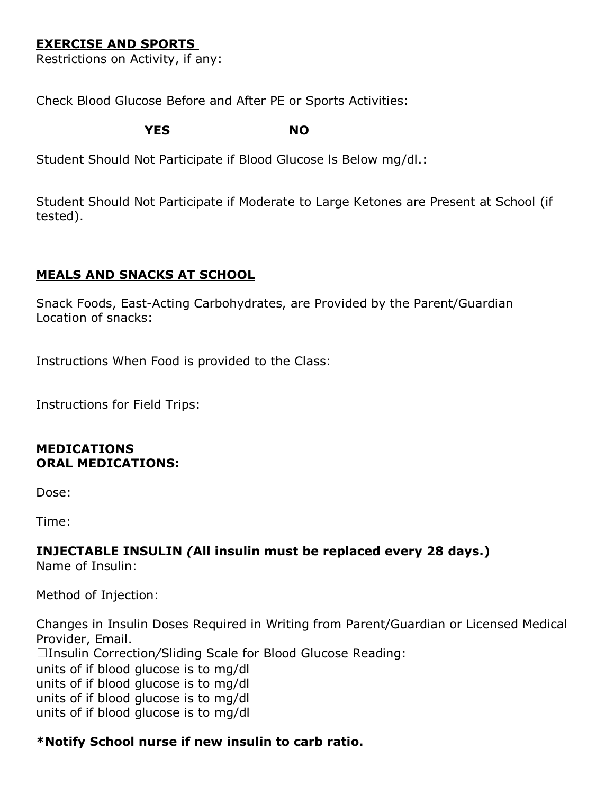# **EXERCISE AND SPORTS**

Restrictions on Activity, if any:

Check Blood Glucose Before and After PE or Sports Activities:

**YES NO**

Student Should Not Participate if Blood Glucose ls Below mg/dl.:

Student Should Not Participate if Moderate to Large Ketones are Present at School (if tested).

## **MEALS AND SNACKS AT SCHOOL**

Snack Foods, East-Acting Carbohydrates, are Provided by the Parent/Guardian Location of snacks:

Instructions When Food is provided to the Class:

Instructions for Field Trips:

#### **MEDICATIONS ORAL MEDICATIONS:**

Dose:

Time:

# **INJECTABLE INSULIN** *(***All insulin must be replaced every 28 days.)**

Name of Insulin:

Method of Injection:

Changes in Insulin Doses Required in Writing from Parent/Guardian or Licensed Medical Provider, Email. ☐Insulin Correction*/*Sliding Scale for Blood Glucose Reading: units of if blood glucose is to mg/dl units of if blood glucose is to mg/dl units of if blood glucose is to mg/dl units of if blood glucose is to mg/dl

## **\*Notify School nurse if new insulin to carb ratio.**